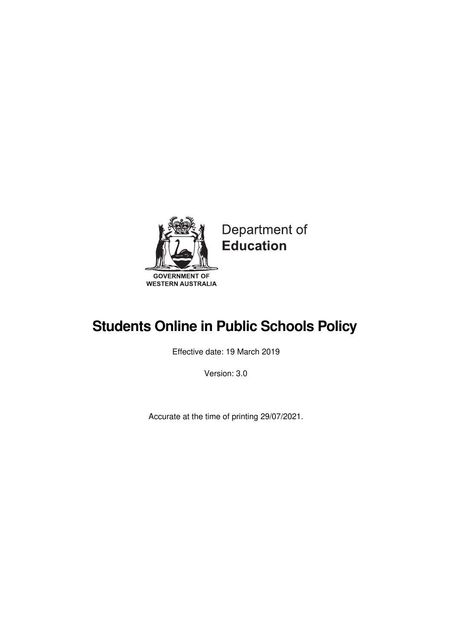

# Department of **Education**

# **Students Online in Public Schools Policy**

Effective date: 19 March 2019

Version: 3.0

Accurate at the time of printing 29/07/2021.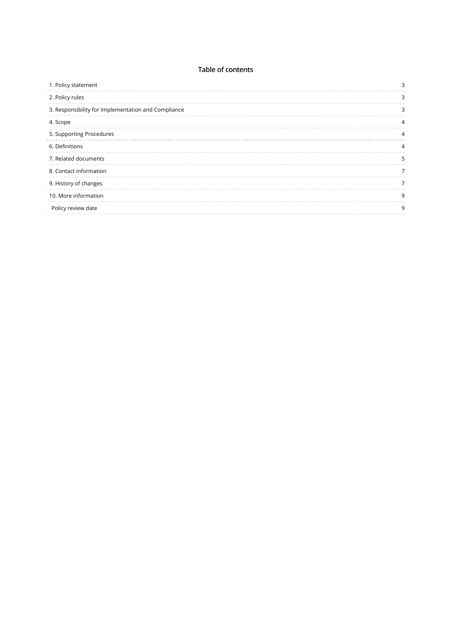### Table of contents

| 1. Policy statement                                 | 3 |
|-----------------------------------------------------|---|
| 2. Policy rules                                     | 3 |
| 3. Responsibility for Implementation and Compliance | 3 |
| 4. Scope                                            | 4 |
| 5. Supporting Procedures                            | 4 |
| 6. Definitions                                      | 4 |
| 7. Related documents                                | 5 |
| 8. Contact information                              | 7 |
| 9. History of changes                               | 7 |
| 10. More information                                | 9 |
| Policy review date                                  | 9 |
|                                                     |   |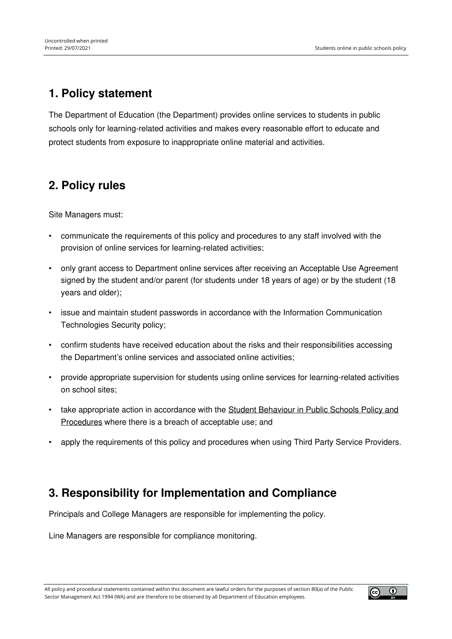# <span id="page-2-0"></span>**1. Policy statement**

The Department of Education (the Department) provides online services to students in public schools only for learning-related activities and makes every reasonable effort to educate and protect students from exposure to inappropriate online material and activities.

# <span id="page-2-1"></span>**2. Policy rules**

Site Managers must:

- communicate the requirements of this policy and procedures to any staff involved with the provision of online services for learning-related activities;
- only grant access to Department online services after receiving an Acceptable Use Agreement signed by the student and/or parent (for students under 18 years of age) or by the student (18 years and older);
- issue and maintain student passwords in accordance with the Information Communication Technologies Security policy;
- confirm students have received education about the risks and their responsibilities accessing the Department's online services and associated online activities;
- provide appropriate supervision for students using online services for learning-related activities on school sites;
- take appropriate action in [accordance](https://www.education.wa.edu.au/article/zz0x57v) with the Student Behaviour in Public Schools Policy and Procedures where there is a breach of acceptable use; and
- apply the requirements of this policy and procedures when using Third Party Service Providers.

## <span id="page-2-2"></span>**3. Responsibility for Implementation and Compliance**

Principals and College Managers are responsible for implementing the policy.

Line Managers are responsible for compliance monitoring.

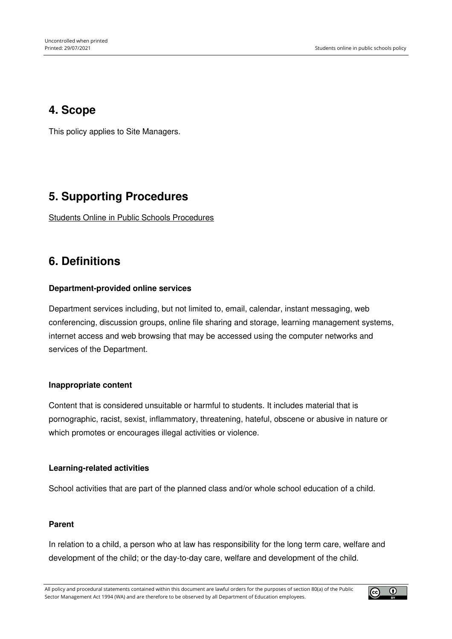## <span id="page-3-0"></span>**4. Scope**

This policy applies to Site Managers.

# <span id="page-3-1"></span>**5. Supporting Procedures**

Students Online in Public Schools [Procedures](https://www.education.wa.edu.au/web/policies/-/students-online-in-public-schools-procedures)

### <span id="page-3-2"></span>**6. Definitions**

### **Department-provided online services**

Department services including, but not limited to, email, calendar, instant messaging, web conferencing, discussion groups, online file sharing and storage, learning management systems, internet access and web browsing that may be accessed using the computer networks and services of the Department.

### **Inappropriate content**

Content that is considered unsuitable or harmful to students. It includes material that is pornographic, racist, sexist, inflammatory, threatening, hateful, obscene or abusive in nature or which promotes or encourages illegal activities or violence.

#### **Learning-related activities**

School activities that are part of the planned class and/or whole school education of a child.

#### **Parent**

In relation to a child, a person who at law has responsibility for the long term care, welfare and development of the child; or the day-to-day care, welfare and development of the child.

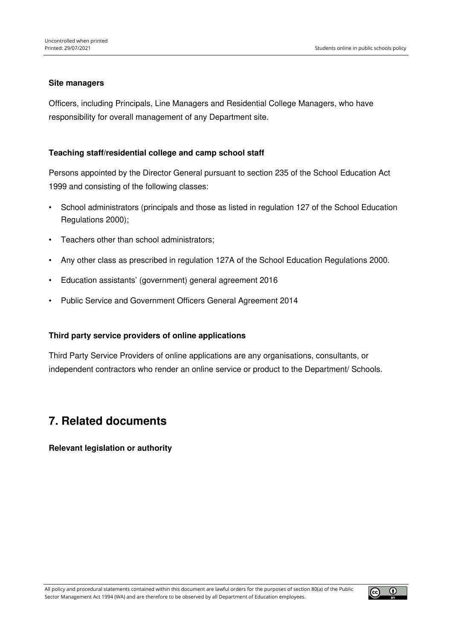#### **Site managers**

Officers, including Principals, Line Managers and Residential College Managers, who have responsibility for overall management of any Department site.

### **Teaching staff/residential college and camp school staff**

Persons appointed by the Director General pursuant to section 235 of the School Education Act 1999 and consisting of the following classes:

- School administrators (principals and those as listed in regulation 127 of the School Education Regulations 2000);
- Teachers other than school administrators;
- Any other class as prescribed in regulation 127A of the School Education Regulations 2000.
- Education assistants' (government) general agreement 2016
- Public Service and Government Officers General Agreement 2014

#### **Third party service providers of online applications**

Third Party Service Providers of online applications are any organisations, consultants, or independent contractors who render an online service or product to the Department/ Schools.

### <span id="page-4-0"></span>**7. Related documents**

### **Relevant legislation or authority**

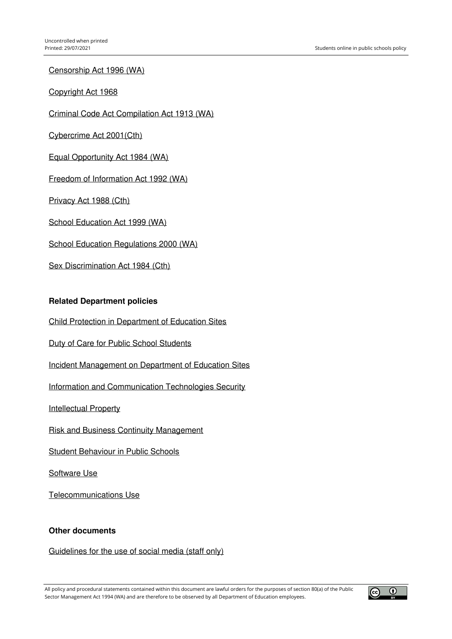[Censorship](https://www.legislation.wa.gov.au/legislation/statutes.nsf/law_s50012.html) Act 1996 (WA)

[Copyright](https://www.legislation.gov.au/Series/C1968A00063) Act 1968

Criminal Code Act [Compilation](https://www.legislation.wa.gov.au/legislation/statutes.nsf/main_mrtitle_218_homepage.html) Act 1913 (WA)

[Cybercrime](https://www.legislation.gov.au/Details/C2004A00937) Act 2001(Cth)

Equal [Opportunity](https://www.legislation.wa.gov.au/legislation/statutes.nsf/main_mrtitle_305_homepage.html) Act 1984 (WA)

Freedom of [Information](https://www.oaic.gov.au/privacy-law/privacy-act/) Act 1992 (WA)

[Privacy](https://www.oaic.gov.au/privacy-law/privacy-act/) Act 1988 (Cth)

School [Education](https://www.legislation.wa.gov.au/legislation/statutes.nsf/main_mrtitle_878_homepage.html) Act 1999 (WA)

School Education [Regulations](https://www.legislation.gov.au/Details/C2014C00002) 2000 (WA)

Sex [Discrimination](https://www.legislation.gov.au/Details/C2014C00002) Act 1984 (Cth)

#### **Related Department policies**

Child Protection in [Department](https://www.education.wa.edu.au/article/l0e3g96) of Education Sites

Duty of Care for Public School [Students](https://www.education.wa.edu.au/article/jndrmjr)

Incident [Management](https://www.education.wa.edu.au/article/10w513e) on Department of Education Sites

Information and [Communication](https://www.education.wa.edu.au/article/0w81vjw) Technologies Security

[Intellectual](https://www.education.wa.edu.au/article/7g67nmn) Property

Risk and Business Continuity [Management](https://www.education.wa.edu.au/article/wlgv81n)

Student [Behaviour](https://www.education.wa.edu.au/article/zz0x57v) in Public Schools

[Software](https://www.education.wa.edu.au/article/66wne51) Use

[Telecommunications](https://www.education.wa.edu.au/article/p90zelg) Use

#### **Other documents**

[Guidelines](https://ikon.education.wa.edu.au/-/manage-social-media-and-electronic-communication-use) for the use of social media (staff only)

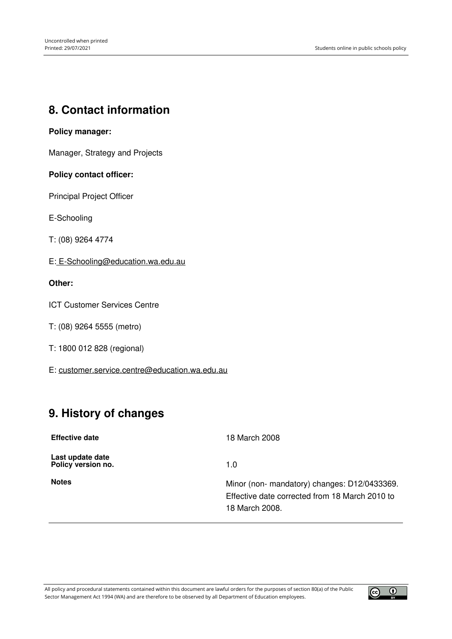# <span id="page-6-0"></span>**8. Contact information**

### **Policy manager:**

Manager, Strategy and Projects

### **Policy contact officer:**

Principal Project Officer

E-Schooling

T: (08) 9264 4774

E: [E-Schooling@education.wa.edu.au](mailto:%20E-Schooling@education.wa.edu.au)

### **Other:**

ICT Customer Services Centre

T: (08) 9264 5555 (metro)

T: 1800 012 828 (regional)

E: [customer.service.centre@education.wa.edu.au](mailto:customer.service.centre@education.wa.edu.au)

# <span id="page-6-1"></span>**9. History of changes**

| <b>Effective date</b>                  | 18 March 2008                                  |
|----------------------------------------|------------------------------------------------|
| Last update date<br>Policy version no. | 1.0                                            |
| <b>Notes</b>                           | Minor (non- mandatory) changes: D12/0433369.   |
|                                        | Effective date corrected from 18 March 2010 to |
|                                        | 18 March 2008.                                 |

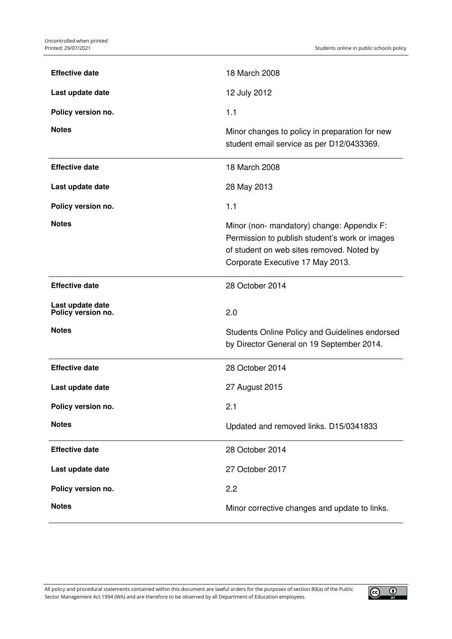| <b>Effective date</b>                  | 18 March 2008                                                                                                                                                                 |
|----------------------------------------|-------------------------------------------------------------------------------------------------------------------------------------------------------------------------------|
| Last update date                       | 12 July 2012                                                                                                                                                                  |
| Policy version no.                     | 1.1                                                                                                                                                                           |
| <b>Notes</b>                           | Minor changes to policy in preparation for new<br>student email service as per D12/0433369.                                                                                   |
| <b>Effective date</b>                  | 18 March 2008                                                                                                                                                                 |
| Last update date                       | 28 May 2013                                                                                                                                                                   |
| Policy version no.                     | 1.1                                                                                                                                                                           |
| <b>Notes</b>                           | Minor (non- mandatory) change: Appendix F:<br>Permission to publish student's work or images<br>of student on web sites removed. Noted by<br>Corporate Executive 17 May 2013. |
| <b>Effective date</b>                  | 28 October 2014                                                                                                                                                               |
| Last update date<br>Policy version no. | 2.0                                                                                                                                                                           |
|                                        |                                                                                                                                                                               |
| <b>Notes</b>                           | Students Online Policy and Guidelines endorsed<br>by Director General on 19 September 2014.                                                                                   |
| <b>Effective date</b>                  | 28 October 2014                                                                                                                                                               |
| Last update date                       | 27 August 2015                                                                                                                                                                |
| Policy version no.                     | 2.1                                                                                                                                                                           |
| <b>Notes</b>                           | Updated and removed links. D15/0341833                                                                                                                                        |
| <b>Effective date</b>                  | 28 October 2014                                                                                                                                                               |
| Last update date                       | 27 October 2017                                                                                                                                                               |
| Policy version no.                     | 2.2                                                                                                                                                                           |